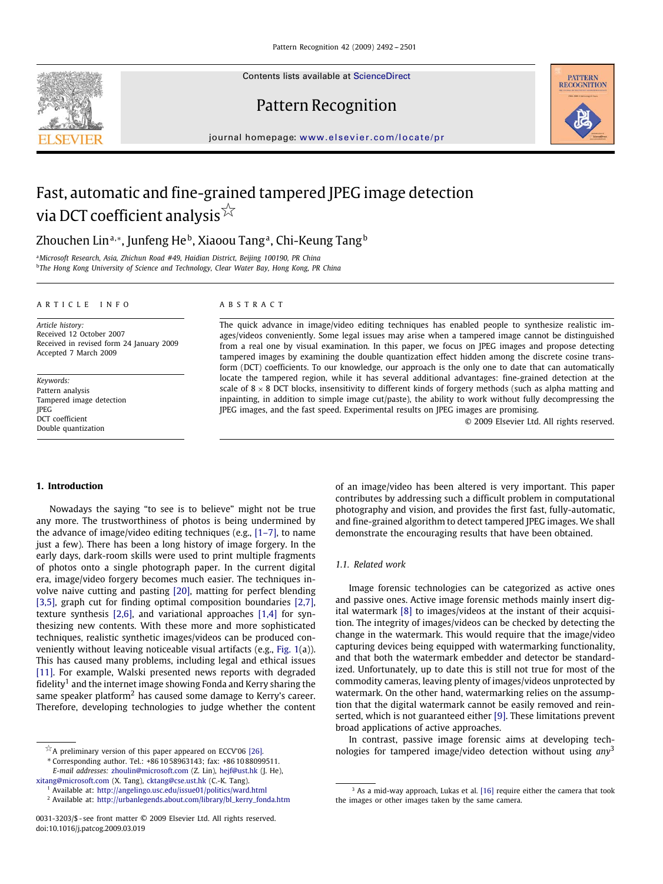Contents lists available at [ScienceDirect](http://www.sciencedirect.com/science/journal/pr)

# Pattern Recognition



journal homepage: [www.elsevier.com/locate/pr](http://www.elsevier.com/locate/pr)

# Fast, automatic and fine-grained tampered JPEG image detection via DCT coefficient analysis  $^{\not\rightsquigarrow}$

Zhouchen Lin<sup>a,∗</sup>, Junfeng He<sup>b</sup>, Xiaoou Tang<sup>a</sup>, Chi-Keung Tang<sup>b</sup>

<sup>a</sup>*Microsoft Research, Asia, Zhichun Road #49, Haidian District, Beijing 100190, PR China* <sup>b</sup>*The Hong Kong University of Science and Technology, Clear Water Bay, Hong Kong, PR China*

#### ARTICLE INFO ABSTRACT

*Article history:* Received 12 October 2007 Received in revised form 24 January 2009 Accepted 7 March 2009

*Keywords:* Pattern analysis Tampered image detection JPEG DCT coefficient Double quantization

The quick advance in image/video editing techniques has enabled people to synthesize realistic images/videos conveniently. Some legal issues may arise when a tampered image cannot be distinguished from a real one by visual examination. In this paper, we focus on JPEG images and propose detecting tampered images by examining the double quantization effect hidden among the discrete cosine transform (DCT) coefficients. To our knowledge, our approach is the only one to date that can automatically locate the tampered region, while it has several additional advantages: fine-grained detection at the scale of  $8 \times 8$  DCT blocks, insensitivity to different kinds of forgery methods (such as alpha matting and inpainting, in addition to simple image cut/paste), the ability to work without fully decompressing the JPEG images, and the fast speed. Experimental results on JPEG images are promising.

© 2009 Elsevier Ltd. All rights reserved.

# **1. Introduction**

Nowadays the saying "to see is to believe" might not be true any more. The trustworthiness of photos is being undermined by the advance of image/video editing techniques (e.g., [1–7], to name just a few). There has been a long history of image forgery. In the early days, dark-room skills were used to print multiple fragments of photos onto a single photograph paper. In the current digital era, image/video forgery becomes much easier. The techniques involve naive cutting and pasting [\[20\],](#page-9-0) matting for perfect blending [3,5], graph cut for finding optimal composition boundaries [2,7], texture synthesis [2,6], and variational approaches [1,4] for synthesizing new contents. With these more and more sophisticated techniques, realistic synthetic images/videos can be produced conveniently without leaving noticeable visual artifacts (e.g., [Fig. 1\(](#page-1-0)a)). This has caused many problems, including legal and ethical issues [\[11\].](#page-9-1) For example, Walski presented news reports with degraded fidelity<sup>1</sup> and the internet image showing Fonda and Kerry sharing the same speaker platform<sup>2</sup> has caused some damage to Kerry's career. Therefore, developing technologies to judge whether the content

of an image/video has been altered is very important. This paper contributes by addressing such a difficult problem in computational photography and vision, and provides the first fast, fully-automatic, and fine-grained algorithm to detect tampered JPEG images. We shall demonstrate the encouraging results that have been obtained.

# *1.1. Related work*

Image forensic technologies can be categorized as active ones and passive ones. Active image forensic methods mainly insert digital watermark [\[8\]](#page-9-3) to images/videos at the instant of their acquisition. The integrity of images/videos can be checked by detecting the change in the watermark. This would require that the image/video capturing devices being equipped with watermarking functionality, and that both the watermark embedder and detector be standardized. Unfortunately, up to date this is still not true for most of the commodity cameras, leaving plenty of images/videos unprotected by watermark. On the other hand, watermarking relies on the assumption that the digital watermark cannot be easily removed and reinserted, which is not guaranteed either [\[9\].](#page-9-4) These limitations prevent broad applications of active approaches.

<span id="page-0-0"></span>In contrast, passive image forensic aims at developing technologies for tampered image/video detection without using *any*[3](#page-0-0)



 $\overleftrightarrow{\,}$  A preliminary version of this paper appeared on ECCV'06 [\[26\].](#page-9-2)

<sup>∗</sup> Corresponding author. Tel.: +86 10 58963143; fax: +86 10 88099511. *E-mail addresses:* [zhoulin@microsoft.com](mailto:zhoulin@microsoft.com) (Z. Lin), [hejf@ust.hk](mailto:hejf@ust.hk) (J. He),

[xitang@microsoft.com](mailto:xitang@microsoft.com) (X. Tang), [cktang@cse.ust.hk](mailto:cktang@cse.ust.hk) (C.-K. Tang).

<sup>1</sup> Available at: <http://angelingo.usc.edu/issue01/politics/ward.html>

<sup>2</sup> Available at: [http://urbanlegends.about.com/library/bl\\_kerry\\_fonda.htm](http://urbanlegends.about.com/library/bl_kerry_fonda.htm)

<sup>0031-3203/\$ -</sup> see front matter © 2009 Elsevier Ltd. All rights reserved. doi:10.1016/j.patcog.2009.03.019

<sup>&</sup>lt;sup>3</sup> As a mid-way approach, Lukas et al. [\[16\]](#page-9-5) require either the camera that took the images or other images taken by the same camera.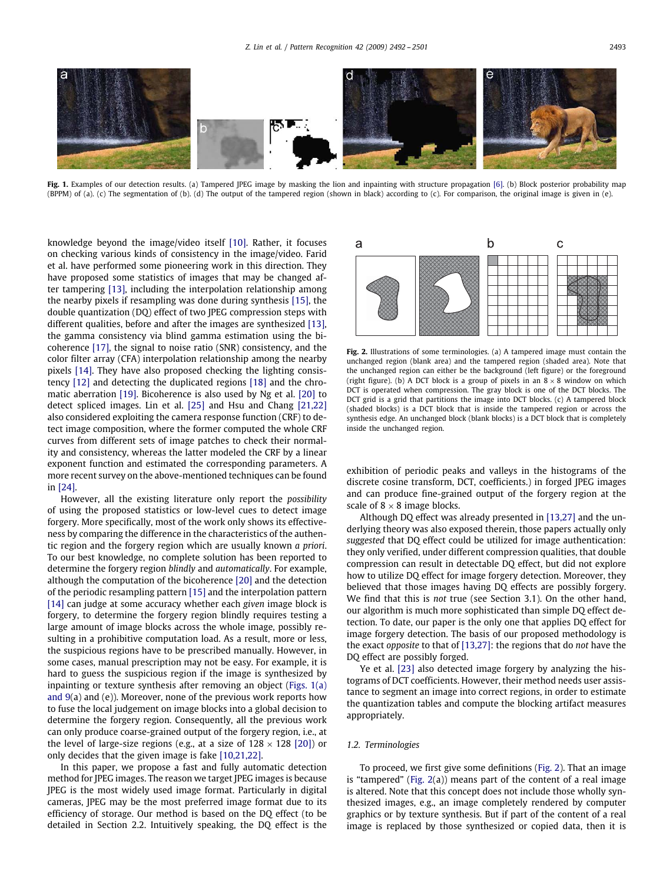

Fig. 1. Examples of our detection results. (a) Tampered JPEG image by masking the lion and inpainting with structure propagation [\[6\].](#page-9-6) (b) Block posterior probability map (BPPM) of (a). (c) The segmentation of (b). (d) The output of the tampered region (shown in black) according to (c). For comparison, the original image is given in (e).

knowledge beyond the image/video itself [\[10\].](#page-9-7) Rather, it focuses on checking various kinds of consistency in the image/video. Farid et al. have performed some pioneering work in this direction. They have proposed some statistics of images that may be changed after tampering [\[13\],](#page-9-8) including the interpolation relationship among the nearby pixels if resampling was done during synthesis [\[15\],](#page-9-9) the double quantization (DQ) effect of two JPEG compression steps with different qualities, before and after the images are synthesized [\[13\],](#page-9-8) the gamma consistency via blind gamma estimation using the bicoherence [\[17\],](#page-9-10) the signal to noise ratio (SNR) consistency, and the color filter array (CFA) interpolation relationship among the nearby pixels [\[14\].](#page-9-11) They have also proposed checking the lighting consistency [\[12\]](#page-9-12) and detecting the duplicated regions [\[18\]](#page-9-13) and the chromatic aberration [\[19\].](#page-9-14) Bicoherence is also used by Ng et al. [\[20\]](#page-9-0) to detect spliced images. Lin et al. [\[25\]](#page-9-15) and Hsu and Chang [21,22] also considered exploiting the camera response function (CRF) to detect image composition, where the former computed the whole CRF curves from different sets of image patches to check their normality and consistency, whereas the latter modeled the CRF by a linear exponent function and estimated the corresponding parameters. A more recent survey on the above-mentioned techniques can be found in [\[24\].](#page-9-16)

However, all the existing literature only report the *possibility* of using the proposed statistics or low-level cues to detect image forgery. More specifically, most of the work only shows its effectiveness by comparing the difference in the characteristics of the authentic region and the forgery region which are usually known *a priori*. To our best knowledge, no complete solution has been reported to determine the forgery region *blindly* and *automatically*. For example, although the computation of the bicoherence [\[20\]](#page-9-0) and the detection of the periodic resampling pattern [\[15\]](#page-9-9) and the interpolation pattern [\[14\]](#page-9-11) can judge at some accuracy whether each *given* image block is forgery, to determine the forgery region blindly requires testing a large amount of image blocks across the whole image, possibly resulting in a prohibitive computation load. As a result, more or less, the suspicious regions have to be prescribed manually. However, in some cases, manual prescription may not be easy. For example, it is hard to guess the suspicious region if the image is synthesized by inpainting or texture synthesis after removing an object (Figs. 1(a) and 9(a) and (e)). Moreover, none of the previous work reports how to fuse the local judgement on image blocks into a global decision to determine the forgery region. Consequently, all the previous work can only produce coarse-grained output of the forgery region, i.e., at the level of large-size regions (e.g., at a size of  $128 \times 128$  [\[20\]\)](#page-9-0) or only decides that the given image is fake [10,21,22].

In this paper, we propose a fast and fully automatic detection method for JPEG images. The reason we target JPEG images is because JPEG is the most widely used image format. Particularly in digital cameras, JPEG may be the most preferred image format due to its efficiency of storage. Our method is based on the DQ effect (to be detailed in Section 2.2. Intuitively speaking, the DQ effect is the

<span id="page-1-0"></span>

**Fig. 2.** Illustrations of some terminologies. (a) A tampered image must contain the unchanged region (blank area) and the tampered region (shaded area). Note that the unchanged region can either be the background (left figure) or the foreground (right figure). (b) A DCT block is a group of pixels in an  $8 \times 8$  window on which DCT is operated when compression. The gray block is one of the DCT blocks. The DCT grid is a grid that partitions the image into DCT blocks. (c) A tampered block (shaded blocks) is a DCT block that is inside the tampered region or across the synthesis edge. An unchanged block (blank blocks) is a DCT block that is completely inside the unchanged region.

<span id="page-1-1"></span>exhibition of periodic peaks and valleys in the histograms of the discrete cosine transform, DCT, coefficients.) in forged JPEG images and can produce fine-grained output of the forgery region at the scale of  $8 \times 8$  image blocks.

Although DQ effect was already presented in [13,27] and the underlying theory was also exposed therein, those papers actually only *suggested* that DQ effect could be utilized for image authentication: they only verified, under different compression qualities, that double compression can result in detectable DQ effect, but did not explore how to utilize DQ effect for image forgery detection. Moreover, they believed that those images having DQ effects are possibly forgery. We find that this is *not* true (see Section 3.1). On the other hand, our algorithm is much more sophisticated than simple DQ effect detection. To date, our paper is the only one that applies DQ effect for image forgery detection. The basis of our proposed methodology is the exact *opposite* to that of [13,27]: the regions that do *not* have the DQ effect are possibly forged.

Ye et al. [\[23\]](#page-9-17) also detected image forgery by analyzing the histograms of DCT coefficients. However, their method needs user assistance to segment an image into correct regions, in order to estimate the quantization tables and compute the blocking artifact measures appropriately.

# *1.2. Terminologies*

To proceed, we first give some definitions [\(Fig. 2\)](#page-1-1). That an image is "tampered" [\(Fig. 2\(](#page-1-1)a)) means part of the content of a real image is altered. Note that this concept does not include those wholly synthesized images, e.g., an image completely rendered by computer graphics or by texture synthesis. But if part of the content of a real image is replaced by those synthesized or copied data, then it is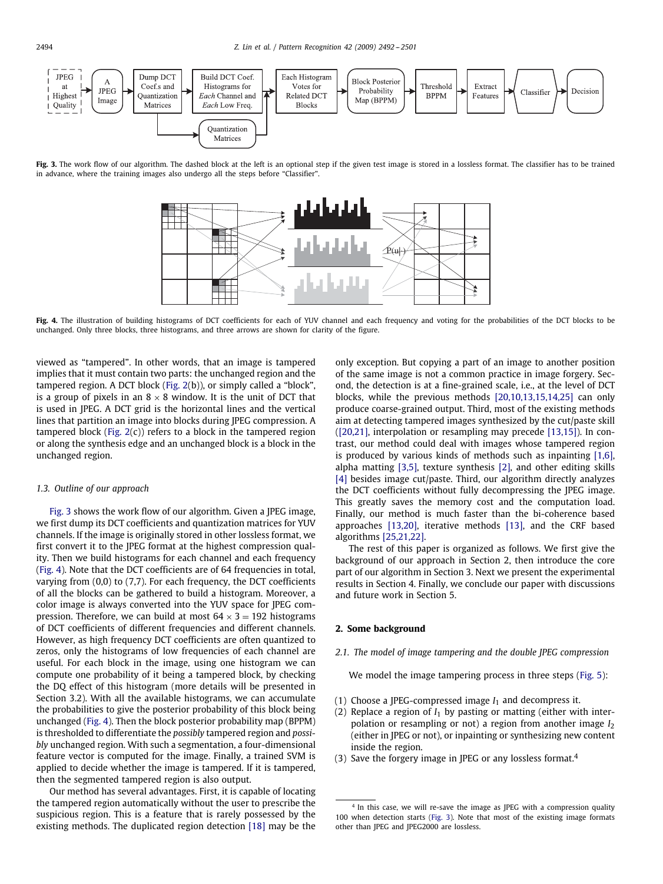

Fig. 3. The work flow of our algorithm. The dashed block at the left is an optional step if the given test image is stored in a lossless format. The classifier has to be trained in advance, where the training images also undergo all the steps before "Classifier".

<span id="page-2-0"></span>

Fig. 4. The illustration of building histograms of DCT coefficients for each of YUV channel and each frequency and voting for the probabilities of the DCT blocks to be unchanged. Only three blocks, three histograms, and three arrows are shown for clarity of the figure.

viewed as "tampered". In other words, that an image is tampered implies that it must contain two parts: the unchanged region and the tampered region. A DCT block [\(Fig. 2\(](#page-1-1)b)), or simply called a "block", is a group of pixels in an  $8 \times 8$  window. It is the unit of DCT that is used in JPEG. A DCT grid is the horizontal lines and the vertical lines that partition an image into blocks during JPEG compression. A tampered block (Fig.  $2(c)$ ) refers to a block in the tampered region or along the synthesis edge and an unchanged block is a block in the unchanged region.

# *1.3. Outline of our approach*

[Fig. 3](#page-2-0) shows the work flow of our algorithm. Given a JPEG image, we first dump its DCT coefficients and quantization matrices for YUV channels. If the image is originally stored in other lossless format, we first convert it to the JPEG format at the highest compression quality. Then we build histograms for each channel and each frequency [\(Fig. 4\)](#page-2-1). Note that the DCT coefficients are of 64 frequencies in total, varying from (0,0) to (7,7). For each frequency, the DCT coefficients of all the blocks can be gathered to build a histogram. Moreover, a color image is always converted into the YUV space for JPEG compression. Therefore, we can build at most  $64 \times 3 = 192$  histograms of DCT coefficients of different frequencies and different channels. However, as high frequency DCT coefficients are often quantized to zeros, only the histograms of low frequencies of each channel are useful. For each block in the image, using one histogram we can compute one probability of it being a tampered block, by checking the DQ effect of this histogram (more details will be presented in Section 3.2). With all the available histograms, we can accumulate the probabilities to give the posterior probability of this block being unchanged [\(Fig. 4\)](#page-2-1). Then the block posterior probability map (BPPM) is thresholded to differentiate the *possibly* tampered region and *possibly* unchanged region. With such a segmentation, a four-dimensional feature vector is computed for the image. Finally, a trained SVM is applied to decide whether the image is tampered. If it is tampered, then the segmented tampered region is also output.

Our method has several advantages. First, it is capable of locating the tampered region automatically without the user to prescribe the suspicious region. This is a feature that is rarely possessed by the existing methods. The duplicated region detection [\[18\]](#page-9-13) may be the <span id="page-2-1"></span>only exception. But copying a part of an image to another position of the same image is not a common practice in image forgery. Second, the detection is at a fine-grained scale, i.e., at the level of DCT blocks, while the previous methods [20,10,13,15,14,25] can only produce coarse-grained output. Third, most of the existing methods aim at detecting tampered images synthesized by the cut/paste skill ([20,21], interpolation or resampling may precede [13,15]). In contrast, our method could deal with images whose tampered region is produced by various kinds of methods such as inpainting [1,6], alpha matting [3,5], texture synthesis [\[2\],](#page-9-18) and other editing skills [\[4\]](#page-9-19) besides image cut/paste. Third, our algorithm directly analyzes the DCT coefficients without fully decompressing the JPEG image. This greatly saves the memory cost and the computation load. Finally, our method is much faster than the bi-coherence based approaches [13,20], iterative methods [\[13\],](#page-9-8) and the CRF based algorithms [25,21,22].

The rest of this paper is organized as follows. We first give the background of our approach in Section 2, then introduce the core part of our algorithm in Section 3. Next we present the experimental results in Section 4. Finally, we conclude our paper with discussions and future work in Section 5.

#### **2. Some background**

# *2.1. The model of image tampering and the double JPEG compression*

We model the image tampering process in three steps [\(Fig. 5\)](#page-3-0):

- (1) Choose a JPEG-compressed image *I*<sup>1</sup> and decompress it.
- (2) Replace a region of  $I_1$  by pasting or matting (either with interpolation or resampling or not) a region from another image *I*<sup>2</sup> (either in JPEG or not), or inpainting or synthesizing new content inside the region.
- <span id="page-2-2"></span>(3) Save the forgery image in JPEG or any lossless format.<sup>[4](#page-2-2)</sup>

 $4$  In this case, we will re-save the image as JPEG with a compression quality 100 when detection starts [\(Fig. 3\)](#page-2-0). Note that most of the existing image formats other than JPEG and JPEG2000 are lossless.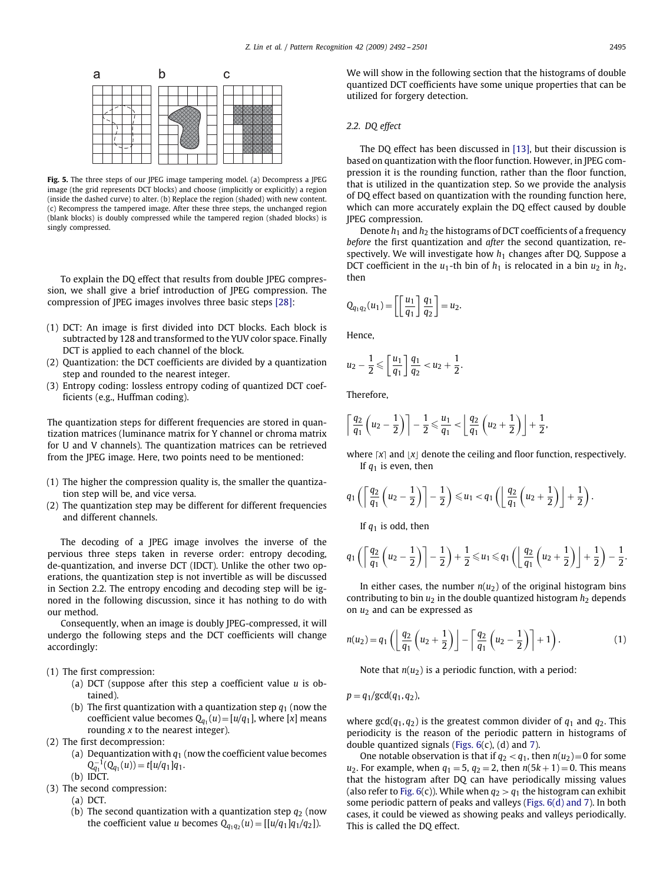

<span id="page-3-0"></span>**Fig. 5.** The three steps of our JPEG image tampering model. (a) Decompress a JPEG image (the grid represents DCT blocks) and choose (implicitly or explicitly) a region (inside the dashed curve) to alter. (b) Replace the region (shaded) with new content. (c) Recompress the tampered image. After these three steps, the unchanged region (blank blocks) is doubly compressed while the tampered region (shaded blocks) is singly compressed.

To explain the DQ effect that results from double JPEG compression, we shall give a brief introduction of JPEG compression. The compression of JPEG images involves three basic steps [\[28\]:](#page-9-20)

- (1) DCT: An image is first divided into DCT blocks. Each block is subtracted by 128 and transformed to the YUV color space. Finally DCT is applied to each channel of the block.
- (2) Quantization: the DCT coefficients are divided by a quantization step and rounded to the nearest integer.
- (3) Entropy coding: lossless entropy coding of quantized DCT coefficients (e.g., Huffman coding).

The quantization steps for different frequencies are stored in quantization matrices (luminance matrix for Y channel or chroma matrix for U and V channels). The quantization matrices can be retrieved from the JPEG image. Here, two points need to be mentioned:

- (1) The higher the compression quality is, the smaller the quantization step will be, and vice versa.
- (2) The quantization step may be different for different frequencies and different channels.

The decoding of a JPEG image involves the inverse of the pervious three steps taken in reverse order: entropy decoding, de-quantization, and inverse DCT (IDCT). Unlike the other two operations, the quantization step is not invertible as will be discussed in Section 2.2. The entropy encoding and decoding step will be ignored in the following discussion, since it has nothing to do with our method.

Consequently, when an image is doubly JPEG-compressed, it will undergo the following steps and the DCT coefficients will change accordingly:

- (1) The first compression:
	- (a) DCT (suppose after this step a coefficient value *u* is obtained).
	- (b) The first quantization with a quantization step  $q_1$  (now the coefficient value becomes  $Q_{q_1}(u) = [u/q_1]$ , where [*x*] means rounding *x* to the nearest integer).
- (2) The first decompression:
	- (a) Dequantization with  $q_1$  (now the coefficient value becomes  $Q_{q_1}^{-1}(Q_{q_1}(u)) = t[u/q_1]q_1.$
- (b) IDCT. (3) The second compression:
	- (a) DCT.
	- (b) The second quantization with a quantization step  $q_2$  (now the coefficient value *u* becomes  $Q_{q_1q_2}(u) = [[u/q_1]q_1/q_2]).$

We will show in the following section that the histograms of double quantized DCT coefficients have some unique properties that can be utilized for forgery detection.

# *2.2. DQ effect*

The DQ effect has been discussed in [\[13\],](#page-9-8) but their discussion is based on quantization with the floor function. However, in JPEG compression it is the rounding function, rather than the floor function, that is utilized in the quantization step. So we provide the analysis of DQ effect based on quantization with the rounding function here, which can more accurately explain the DQ effect caused by double JPEG compression.

Denote *h*<sup>1</sup> and *h*<sup>2</sup> the histograms of DCT coefficients of a frequency *before* the first quantization and *after* the second quantization, respectively. We will investigate how  $h_1$  changes after DQ. Suppose a DCT coefficient in the  $u_1$ -th bin of  $h_1$  is relocated in a bin  $u_2$  in  $h_2$ , then

$$
Q_{q_1q_2}(u_1)=\left[\left[\frac{u_1}{q_1}\right]\frac{q_1}{q_2}\right]=u_2.
$$

Hence,

$$
u_2 - \frac{1}{2} \leqslant \left[ \frac{u_1}{q_1} \right] \frac{q_1}{q_2} < u_2 + \frac{1}{2}.
$$

Therefore,

$$
\left\lceil \frac{q_2}{q_1} \left( u_2 - \frac{1}{2} \right) \right\rceil - \frac{1}{2} \leqslant \frac{u_1}{q_1} < \left\lfloor \frac{q_2}{q_1} \left( u_2 + \frac{1}{2} \right) \right\rfloor + \frac{1}{2},
$$

where  $\lceil x \rceil$  and  $\lceil x \rceil$  denote the ceiling and floor function, respectively. If  $q_1$  is even, then

.

$$
q_1\left(\left\lceil\frac{q_2}{q_1}\left(u_2-\frac{1}{2}\right)\right\rceil-\frac{1}{2}\right)\leq u_1
$$

If  $q_1$  is odd, then

$$
q_1\left(\left\lceil \frac{q_2}{q_1}\left(u_2-\frac{1}{2}\right)\right\rceil -\frac{1}{2}\right)+\frac{1}{2}\leq u_1 \leq q_1\left(\left\lfloor \frac{q_2}{q_1}\left(u_2+\frac{1}{2}\right)\right\rfloor +\frac{1}{2}\right)-\frac{1}{2}.
$$

In either cases, the number  $n(u_2)$  of the original histogram bins contributing to bin  $u_2$  in the double quantized histogram  $h_2$  depends on *u*<sup>2</sup> and can be expressed as

$$
n(u_2) = q_1 \left( \left\lfloor \frac{q_2}{q_1} \left( u_2 + \frac{1}{2} \right) \right\rfloor - \left\lceil \frac{q_2}{q_1} \left( u_2 - \frac{1}{2} \right) \right\rceil + 1 \right). \tag{1}
$$

Note that *n*(*u*2) is a periodic function, with a period:

 $p = q_1/gcd(q_1, q_2),$ 

where  $gcd(q_1, q_2)$  is the greatest common divider of  $q_1$  and  $q_2$ . This periodicity is the reason of the periodic pattern in histograms of double quantized signals [\(Figs. 6\(](#page-4-0)c), (d) and [7\)](#page-4-1).

One notable observation is that if  $q_2 < q_1$ , then  $n(u_2)=0$  for some *u*<sub>2</sub>. For example, when  $q_1 = 5$ ,  $q_2 = 2$ , then  $n(5k + 1) = 0$ . This means that the histogram after DQ can have periodically missing values (also refer to Fig.  $6(c)$ ). While when  $q_2 > q_1$  the histogram can exhibit some periodic pattern of peaks and valleys (Figs. 6(d) and 7). In both cases, it could be viewed as showing peaks and valleys periodically. This is called the DQ effect.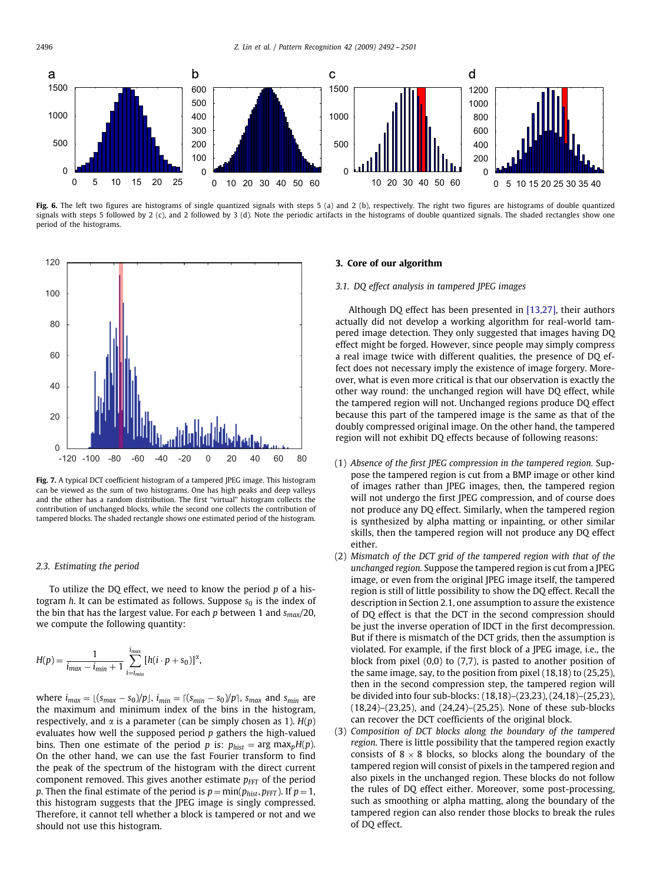

<span id="page-4-0"></span>Fig. 6. The left two figures are histograms of single quantized signals with steps 5 (a) and 2 (b), respectively. The right two figures are histograms of double quantized signals with steps 5 followed by 2 (c), and 2 followed by 3 (d). Note the periodic artifacts in the histograms of double quantized signals. The shaded rectangles show one period of the histograms.



**Fig. 7.** A typical DCT coefficient histogram of a tampered JPEG image. This histogram can be viewed as the sum of two histograms. One has high peaks and deep valleys and the other has a random distribution. The first "virtual" histogram collects the contribution of unchanged blocks, while the second one collects the contribution of tampered blocks. The shaded rectangle shows one estimated period of the histogram.

# *2.3. Estimating the period*

To utilize the DQ effect, we need to know the period *p* of a histogram *h*. It can be estimated as follows. Suppose  $s_0$  is the index of the bin that has the largest value. For each *p* between 1 and *smax/*20, we compute the following quantity:

$$
H(p) = \frac{1}{i_{max} - i_{min} + 1} \sum_{i = i_{min}}^{i_{max}} [h(i \cdot p + s_0)]^{\alpha},
$$

*where*  $i_{max} = \lfloor (s_{max} - s_0)/p \rfloor$ ,  $i_{min} = \lfloor (s_{min} - s_0)/p \rfloor$ ,  $s_{max}$  and  $s_{min}$  are the maximum and minimum index of the bins in the histogram, respectively, and  $\alpha$  is a parameter (can be simply chosen as 1).  $H(p)$ evaluates how well the supposed period *p* gathers the high-valued bins. Then one estimate of the period *p* is:  $p_{hist} = \arg \max_{p} H(p)$ . On the other hand, we can use the fast Fourier transform to find the peak of the spectrum of the histogram with the direct current component removed. This gives another estimate  $p_{FFT}$  of the period *p*. Then the final estimate of the period is  $p = min(p_{hist}, p_{FFT})$ . If  $p = 1$ , this histogram suggests that the JPEG image is singly compressed. Therefore, it cannot tell whether a block is tampered or not and we should not use this histogram.

# **3. Core of our algorithm**

# *3.1. DQ effect analysis in tampered JPEG images*

Although DQ effect has been presented in [13,27], their authors actually did not develop a working algorithm for real-world tampered image detection. They only suggested that images having DQ effect might be forged. However, since people may simply compress a real image twice with different qualities, the presence of DQ effect does not necessary imply the existence of image forgery. Moreover, what is even more critical is that our observation is exactly the other way round: the unchanged region will have DQ effect, while the tampered region will not. Unchanged regions produce DQ effect because this part of the tampered image is the same as that of the doubly compressed original image. On the other hand, the tampered region will not exhibit DQ effects because of following reasons:

- <span id="page-4-1"></span>(1) *Absence of the first JPEG compression in the tampered region.* Suppose the tampered region is cut from a BMP image or other kind of images rather than JPEG images, then, the tampered region will not undergo the first JPEG compression, and of course does not produce any DQ effect. Similarly, when the tampered region is synthesized by alpha matting or inpainting, or other similar skills, then the tampered region will not produce any DQ effect either.
- (2) *Mismatch of the DCT grid of the tampered region with that of the unchanged region.* Suppose the tampered region is cut from a JPEG image, or even from the original JPEG image itself, the tampered region is still of little possibility to show the DQ effect. Recall the description in Section 2.1, one assumption to assure the existence of DQ effect is that the DCT in the second compression should be just the inverse operation of IDCT in the first decompression. But if there is mismatch of the DCT grids, then the assumption is violated. For example, if the first block of a JPEG image, i.e., the block from pixel (0,0) to (7,7), is pasted to another position of the same image, say, to the position from pixel (18,18) to (25,25), then in the second compression step, the tampered region will be divided into four sub-blocks: (18,18)–(23,23), (24,18)–(25,23), (18,24)–(23,25), and (24,24)–(25,25). None of these sub-blocks can recover the DCT coefficients of the original block.
- (3) *Composition of DCT blocks along the boundary of the tampered region.* There is little possibility that the tampered region exactly consists of  $8 \times 8$  blocks, so blocks along the boundary of the tampered region will consist of pixels in the tampered region and also pixels in the unchanged region. These blocks do not follow the rules of DQ effect either. Moreover, some post-processing, such as smoothing or alpha matting, along the boundary of the tampered region can also render those blocks to break the rules of DQ effect.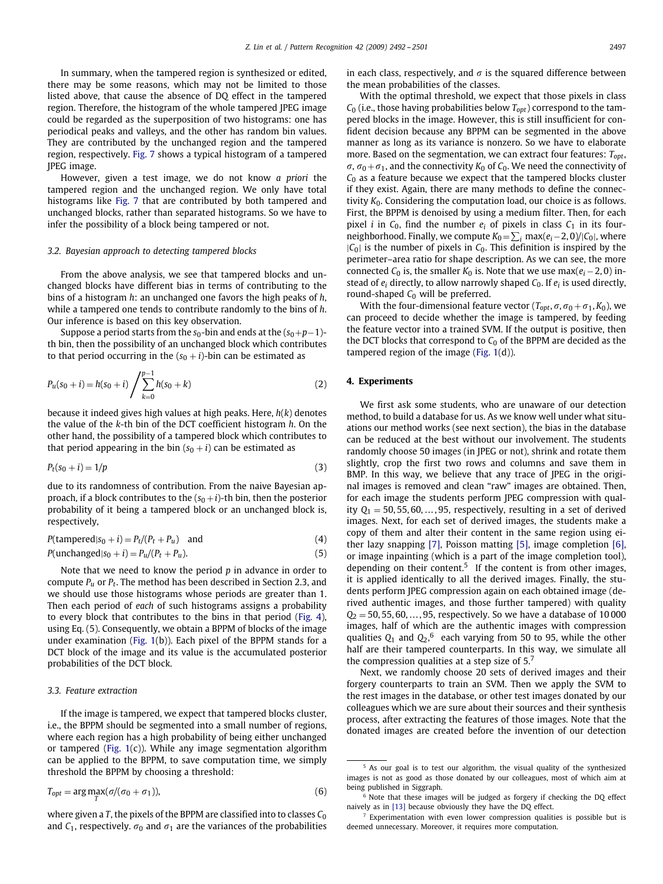In summary, when the tampered region is synthesized or edited, there may be some reasons, which may not be limited to those listed above, that cause the absence of DQ effect in the tampered region. Therefore, the histogram of the whole tampered JPEG image could be regarded as the superposition of two histograms: one has periodical peaks and valleys, and the other has random bin values. They are contributed by the unchanged region and the tampered region, respectively. [Fig. 7](#page-4-1) shows a typical histogram of a tampered JPEG image.

However, given a test image, we do not know *a priori* the tampered region and the unchanged region. We only have total histograms like [Fig. 7](#page-4-1) that are contributed by both tampered and unchanged blocks, rather than separated histograms. So we have to infer the possibility of a block being tampered or not.

# *3.2. Bayesian approach to detecting tampered blocks*

From the above analysis, we see that tampered blocks and unchanged blocks have different bias in terms of contributing to the bins of a histogram *h*: an unchanged one favors the high peaks of *h*, while a tampered one tends to contribute randomly to the bins of *h*. Our inference is based on this key observation.

Suppose a period starts from the  $s_0$ -bin and ends at the  $(s_0+p-1)$ th bin, then the possibility of an unchanged block which contributes to that period occurring in the  $(s_0 + i)$ -bin can be estimated as

$$
P_u(s_0 + i) = h(s_0 + i) \sum_{k=0}^{p-1} h(s_0 + k)
$$
\n(2)

because it indeed gives high values at high peaks. Here, *h*(*k*) denotes the value of the *k*-th bin of the DCT coefficient histogram *h*. On the other hand, the possibility of a tampered block which contributes to that period appearing in the bin  $(s_0 + i)$  can be estimated as

$$
P_t(s_0 + i) = 1/p \tag{3}
$$

due to its randomness of contribution. From the naive Bayesian approach, if a block contributes to the  $(s_0 + i)$ -th bin, then the posterior probability of it being a tampered block or an unchanged block is, respectively,

$$
P(\text{tamped}|s_0 + i) = P_t/(P_t + P_u) \quad \text{and} \tag{4}
$$

$$
P(\text{unchanged}|s_0 + i) = P_u/(P_t + P_u). \tag{5}
$$

Note that we need to know the period *p* in advance in order to compute *Pu* or *Pt*. The method has been described in Section 2.3, and we should use those histograms whose periods are greater than 1. Then each period of *each* of such histograms assigns a probability to every block that contributes to the bins in that period [\(Fig. 4\)](#page-2-1), using Eq. (5). Consequently, we obtain a BPPM of blocks of the image under examination [\(Fig. 1\(](#page-1-0)b)). Each pixel of the BPPM stands for a DCT block of the image and its value is the accumulated posterior probabilities of the DCT block.

# *3.3. Feature extraction*

If the image is tampered, we expect that tampered blocks cluster, i.e., the BPPM should be segmented into a small number of regions, where each region has a high probability of being either unchanged or tampered [\(Fig. 1\(](#page-1-0)c)). While any image segmentation algorithm can be applied to the BPPM, to save computation time, we simply threshold the BPPM by choosing a threshold:

$$
T_{opt} = \arg\max_{T} (\sigma/(\sigma_0 + \sigma_1)), \tag{6}
$$

where given a *T*, the pixels of the BPPM are classified into to classes *C*<sup>0</sup> and  $C_1$ , respectively.  $\sigma_0$  and  $\sigma_1$  are the variances of the probabilities in each class, respectively, and  $\sigma$  is the squared difference between the mean probabilities of the classes.

With the optimal threshold, we expect that those pixels in class  $C_0$  (i.e., those having probabilities below  $T_{opt}$ ) correspond to the tampered blocks in the image. However, this is still insufficient for confident decision because any BPPM can be segmented in the above manner as long as its variance is nonzero. So we have to elaborate more. Based on the segmentation, we can extract four features: *Topt*,  $\sigma$ ,  $\sigma$ <sub>0</sub> +  $\sigma$ <sub>1</sub>, and the connectivity *K*<sub>0</sub> of *C*<sub>0</sub>. We need the connectivity of *C*<sup>0</sup> as a feature because we expect that the tampered blocks cluster if they exist. Again, there are many methods to define the connectivity *K*<sub>0</sub>. Considering the computation load, our choice is as follows. First, the BPPM is denoised by using a medium filter. Then, for each pixel *i* in  $C_0$ , find the number  $e_i$  of pixels in class  $C_1$  in its fourneighborhood. Finally, we compute  $K_0 = \sum_i \max(e_i - 2, 0) / |C_0|$ , where |*C*0| is the number of pixels in *C*0. This definition is inspired by the perimeter–area ratio for shape description. As we can see, the more connected  $C_0$  is, the smaller  $K_0$  is. Note that we use max( $e_i - 2$ , 0) instead of *ei* directly, to allow narrowly shaped *C*0. If *ei* is used directly, round-shaped  $C_0$  will be preferred.

With the four-dimensional feature vector ( $T_{opt}$ ,  $\sigma$ ,  $\sigma_0 + \sigma_1$ ,  $K_0$ ), we can proceed to decide whether the image is tampered, by feeding the feature vector into a trained SVM. If the output is positive, then the DCT blocks that correspond to  $C_0$  of the BPPM are decided as the tampered region of the image (Fig.  $1(d)$ ).

# **4. Experiments**

We first ask some students, who are unaware of our detection method, to build a database for us. As we know well under what situations our method works (see next section), the bias in the database can be reduced at the best without our involvement. The students randomly choose 50 images (in JPEG or not), shrink and rotate them slightly, crop the first two rows and columns and save them in BMP. In this way, we believe that any trace of JPEG in the original images is removed and clean "raw" images are obtained. Then, for each image the students perform JPEG compression with quality  $Q_1 = 50, 55, 60, \ldots, 95$ , respectively, resulting in a set of derived images. Next, for each set of derived images, the students make a copy of them and alter their content in the same region using either lazy snapping [\[7\],](#page-9-21) Poisson matting [\[5\],](#page-9-22) image completion [\[6\],](#page-9-6) or image inpainting (which is a part of the image completion tool), depending on their content.<sup>[5](#page-5-0)</sup> If the content is from other images, it is applied identically to all the derived images. Finally, the students perform JPEG compression again on each obtained image (derived authentic images, and those further tampered) with quality  $Q_2$  = 50, 55, 60, ..., 95, respectively. So we have a database of 10000 images, half of which are the authentic images with compression qualities  $Q_1$  and  $Q_2$ , <sup>[6](#page-5-1)</sup> each varying from 50 to 95, while the other half are their tampered counterparts. In this way, we simulate all the compression qualities at a step size of  $5.'$ 

Next, we randomly choose 20 sets of derived images and their forgery counterparts to train an SVM. Then we apply the SVM to the rest images in the database, or other test images donated by our colleagues which we are sure about their sources and their synthesis process, after extracting the features of those images. Note that the donated images are created before the invention of our detection

<span id="page-5-1"></span><span id="page-5-0"></span><sup>5</sup> As our goal is to test our algorithm, the visual quality of the synthesized images is not as good as those donated by our colleagues, most of which aim at being published in Siggraph.

<span id="page-5-2"></span><sup>6</sup> Note that these images will be judged as forgery if checking the DQ effect naively as in [\[13\]](#page-9-8) because obviously they have the DQ effect.

<sup>7</sup> Experimentation with even lower compression qualities is possible but is deemed unnecessary. Moreover, it requires more computation.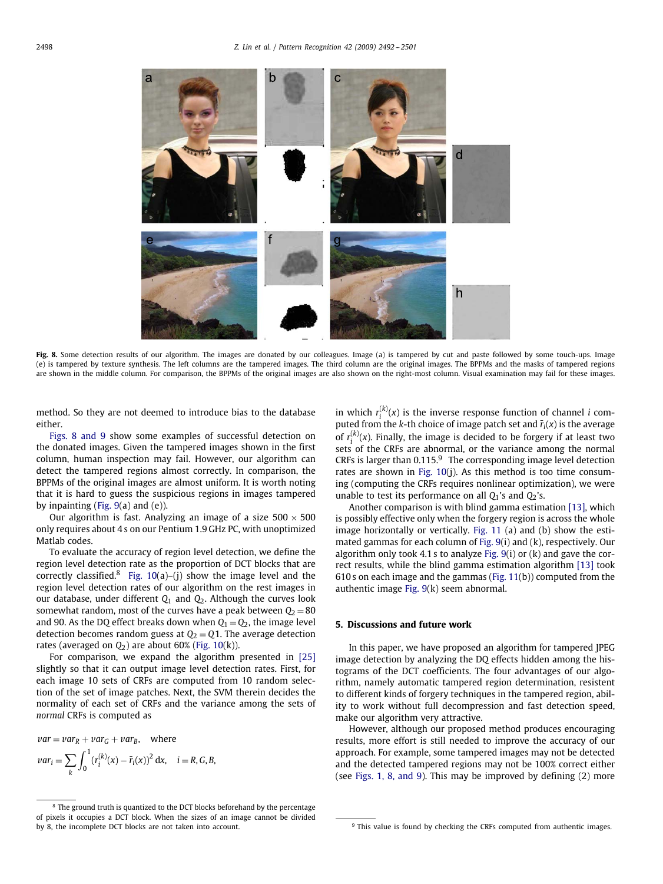

**Fig. 8.** Some detection results of our algorithm. The images are donated by our colleagues. Image (a) is tampered by cut and paste followed by some touch-ups. Image (e) is tampered by texture synthesis. The left columns are the tampered images. The third column are the original images. The BPPMs and the masks of tampered regions are shown in the middle column. For comparison, the BPPMs of the original images are also shown on the right-most column. Visual examination may fail for these images.

method. So they are not deemed to introduce bias to the database either.

Figs. 8 and 9 show some examples of successful detection on the donated images. Given the tampered images shown in the first column, human inspection may fail. However, our algorithm can detect the tampered regions almost correctly. In comparison, the BPPMs of the original images are almost uniform. It is worth noting that it is hard to guess the suspicious regions in images tampered by inpainting [\(Fig. 9\(](#page-7-0)a) and (e)).

Our algorithm is fast. Analyzing an image of a size  $500 \times 500$ only requires about 4 s on our Pentium 1.9 GHz PC, with unoptimized Matlab codes.

To evaluate the accuracy of region level detection, we define the region level detection rate as the proportion of DCT blocks that are correctly classified.<sup>[8](#page-6-0)</sup> [Fig. 10\(](#page-8-0)a)–(j) show the image level and the region level detection rates of our algorithm on the rest images in our database, under different *Q*<sup>1</sup> and *Q*2. Although the curves look somewhat random, most of the curves have a peak between  $Q_2 = 80$ and 90. As the DQ effect breaks down when  $Q_1 = Q_2$ , the image level detection becomes random guess at  $Q_2 = Q_1$ . The average detection rates (averaged on  $Q_2$ ) are about 60% [\(Fig. 10\(](#page-8-0)k)).

For comparison, we expand the algorithm presented in [\[25\]](#page-9-15) slightly so that it can output image level detection rates. First, for each image 10 sets of CRFs are computed from 10 random selection of the set of image patches. Next, the SVM therein decides the normality of each set of CRFs and the variance among the sets of *normal* CRFs is computed as

 $var = var_R + var_G + var_B$ , where  $var_i = \sum$ *k*  $\int_0^1$  $\int_0^{\infty} (r_i^{(k)}(x) - \bar{r}_i(x))^2 dx$ ,  $i = R, G, B$ ,

in which  $r_i^{(k)}(x)$  is the inverse response function of channel *i* computed from the *k*-th choice of image patch set and  $\bar{r}_i(x)$  is the average of  $r_i^{(k)}(x)$ . Finally, the image is decided to be forgery if at least two sets of the CRFs are abnormal, or the variance among the normal CRFs is larger than  $0.115<sup>9</sup>$  $0.115<sup>9</sup>$  $0.115<sup>9</sup>$  The corresponding image level detection rates are shown in [Fig. 10\(](#page-8-0)j). As this method is too time consuming (computing the CRFs requires nonlinear optimization), we were unable to test its performance on all  $Q_1$ 's and  $Q_2$ 's.

Another comparison is with blind gamma estimation [\[13\],](#page-9-8) which is possibly effective only when the forgery region is across the whole image horizontally or vertically. [Fig. 11](#page-9-23) (a) and (b) show the estimated gammas for each column of [Fig. 9\(](#page-7-0)i) and (k), respectively. Our algorithm only took 4.1 s to analyze Fig.  $9(i)$  or  $(k)$  and gave the correct results, while the blind gamma estimation algorithm [\[13\]](#page-9-8) took 610 s on each image and the gammas [\(Fig. 11\(](#page-9-23)b)) computed from the authentic image [Fig. 9\(](#page-7-0)k) seem abnormal.

## **5. Discussions and future work**

In this paper, we have proposed an algorithm for tampered JPEG image detection by analyzing the DQ effects hidden among the histograms of the DCT coefficients. The four advantages of our algorithm, namely automatic tampered region determination, resistent to different kinds of forgery techniques in the tampered region, ability to work without full decompression and fast detection speed, make our algorithm very attractive.

However, although our proposed method produces encouraging results, more effort is still needed to improve the accuracy of our approach. For example, some tampered images may not be detected and the detected tampered regions may not be 100% correct either (see Figs. 1, 8, and 9). This may be improved by defining (2) more

<span id="page-6-0"></span> $8$  The ground truth is quantized to the DCT blocks beforehand by the percentage of pixels it occupies a DCT block. When the sizes of an image cannot be divided by 8, the incomplete DCT blocks are not taken into account.

<span id="page-6-1"></span><sup>&</sup>lt;sup>9</sup> This value is found by checking the CRFs computed from authentic images.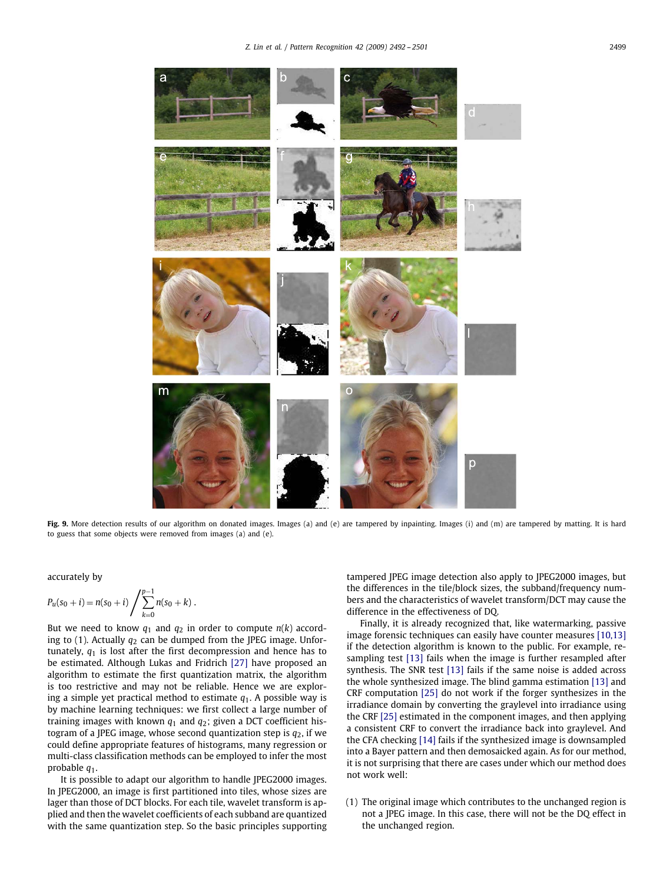

Fig. 9. More detection results of our algorithm on donated images. Images (a) and (e) are tampered by inpainting. Images (i) and (m) are tampered by matting. It is hard to guess that some objects were removed from images (a) and (e).

accurately by

$$
P_u(s_0+i) = n(s_0+i) \bigg/ \sum_{k=0}^{p-1} n(s_0+k) .
$$

But we need to know  $q_1$  and  $q_2$  in order to compute  $n(k)$  according to  $(1)$ . Actually  $q_2$  can be dumped from the JPEG image. Unfortunately,  $q_1$  is lost after the first decompression and hence has to be estimated. Although Lukas and Fridrich [\[27\]](#page-9-24) have proposed an algorithm to estimate the first quantization matrix, the algorithm is too restrictive and may not be reliable. Hence we are exploring a simple yet practical method to estimate *q*1. A possible way is by machine learning techniques: we first collect a large number of training images with known  $q_1$  and  $q_2$ ; given a DCT coefficient histogram of a JPEG image, whose second quantization step is  $q_2$ , if we could define appropriate features of histograms, many regression or multi-class classification methods can be employed to infer the most probable *q*1.

It is possible to adapt our algorithm to handle JPEG2000 images. In JPEG2000, an image is first partitioned into tiles, whose sizes are lager than those of DCT blocks. For each tile, wavelet transform is applied and then the wavelet coefficients of each subband are quantized with the same quantization step. So the basic principles supporting <span id="page-7-0"></span>tampered JPEG image detection also apply to JPEG2000 images, but the differences in the tile/block sizes, the subband/frequency numbers and the characteristics of wavelet transform/DCT may cause the difference in the effectiveness of DQ.

Finally, it is already recognized that, like watermarking, passive image forensic techniques can easily have counter measures [10,13] if the detection algorithm is known to the public. For example, resampling test [\[13\]](#page-9-8) fails when the image is further resampled after synthesis. The SNR test [\[13\]](#page-9-8) fails if the same noise is added across the whole synthesized image. The blind gamma estimation [\[13\]](#page-9-8) and CRF computation [\[25\]](#page-9-15) do not work if the forger synthesizes in the irradiance domain by converting the graylevel into irradiance using the CRF [\[25\]](#page-9-15) estimated in the component images, and then applying a consistent CRF to convert the irradiance back into graylevel. And the CFA checking [\[14\]](#page-9-11) fails if the synthesized image is downsampled into a Bayer pattern and then demosaicked again. As for our method, it is not surprising that there are cases under which our method does not work well:

(1) The original image which contributes to the unchanged region is not a JPEG image. In this case, there will not be the DQ effect in the unchanged region.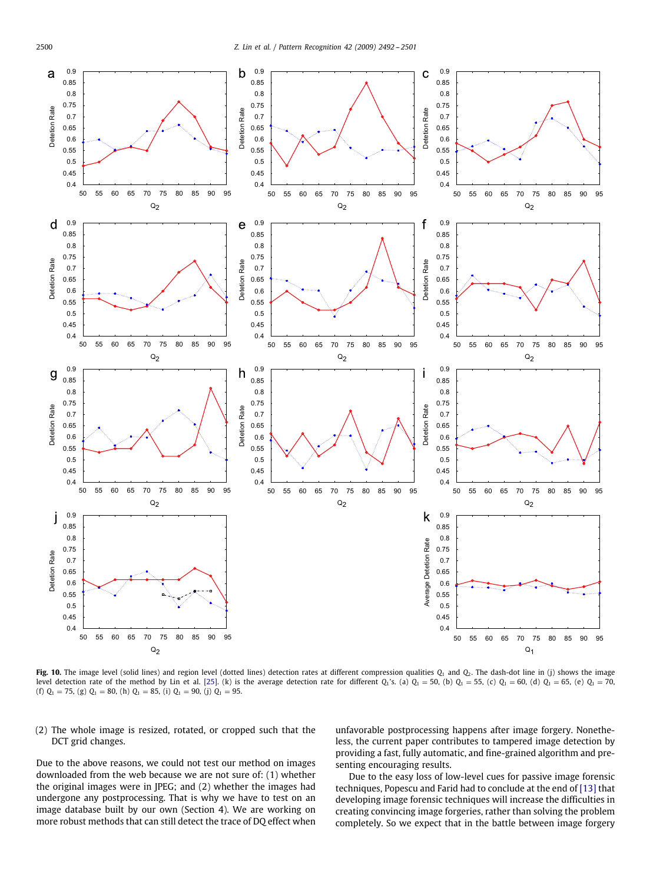

Fig. 10. The image level (solid lines) and region level (dotted lines) detection rates at different compression qualities  $Q_1$  and  $Q_2$ . The dash-dot line in (j) shows the image level detection rate of the method by Lin et al. [\[25\].](#page-9-15) (k) is the average detection rate for different  $Q_1$ 's. (a)  $Q_1 = 50$ , (b)  $Q_1 = 55$ , (c)  $Q_1 = 60$ , (d)  $Q_1 = 65$ , (e)  $Q_1 = 70$ , (f)  $Q_1 = 75$ , (g)  $Q_1 = 80$ , (h)  $Q_1 = 85$ , (i)  $Q_1 = 90$ , (j)  $Q_1 = 95$ .

(2) The whole image is resized, rotated, or cropped such that the DCT grid changes.

Due to the above reasons, we could not test our method on images downloaded from the web because we are not sure of: (1) whether the original images were in JPEG; and (2) whether the images had undergone any postprocessing. That is why we have to test on an image database built by our own (Section 4). We are working on more robust methods that can still detect the trace of DQ effect when

<span id="page-8-0"></span>unfavorable postprocessing happens after image forgery. Nonetheless, the current paper contributes to tampered image detection by providing a fast, fully automatic, and fine-grained algorithm and presenting encouraging results.

Due to the easy loss of low-level cues for passive image forensic techniques, Popescu and Farid had to conclude at the end of [\[13\]](#page-9-8) that developing image forensic techniques will increase the difficulties in creating convincing image forgeries, rather than solving the problem completely. So we expect that in the battle between image forgery